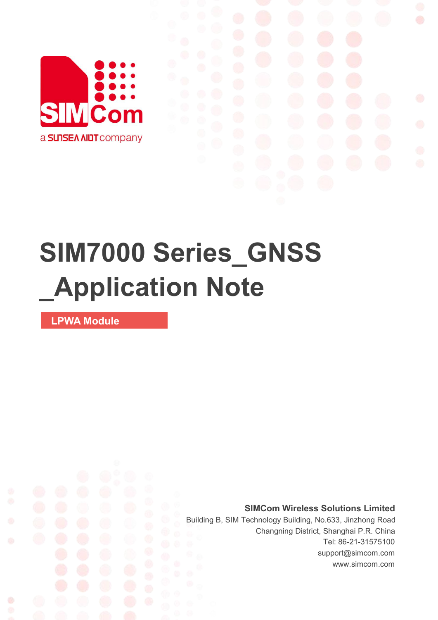

# **SIM7000 Series\_GNSS \_Application Note**

**LPWA Module**

Ø

**SIMCom Wireless Solutions Limited**

Building B, SIM Technology Building, No.633, Jinzhong Road Changning District, Shanghai P.R. China Tel: 86-21-31575100 support@simcom.com www.simcom.com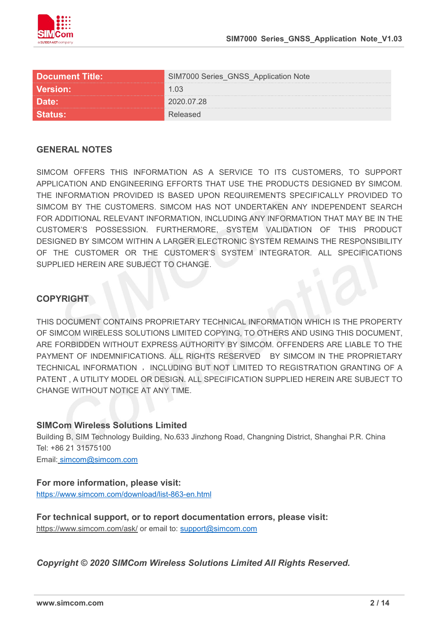

| <b>Document Title:</b> | <b>IM7000 Series_GNSS_Application Note</b> |  |
|------------------------|--------------------------------------------|--|
| <b>Version:</b>        | ี่ 1 กา                                    |  |
| <b>Date:</b>           | <sup>ን</sup> በ2በ በ7 28                     |  |
|                        |                                            |  |

#### **GENERAL NOTES**

SIMCOM OFFERS THIS INFORMATION AS A SERVICE TO ITS CUSTOMERS. TO SUPPORT APPLICATION AND ENGINEERING EFFORTS THAT USE THE PRODUCTS DESIGNED BY SIMCOM. THE INFORMATION PROVIDED IS BASED UPON REQUIREMENTS SPECIFICALLY PROVIDED TO SIMCOM BY THE CUSTOMERS. SIMCOM HAS NOT UNDERTAKEN ANY INDEPENDENT SEARCH FOR ADDITIONAL RELEVANT INFORMATION, INCLUDING ANY INFORMATION THAT MAY BE IN THE CUSTOMER'S POSSESSION. FURTHERMORE, SYSTEM VALIDATION OF THIS PRODUCT DESIGNED BY SIMCOM WITHIN A LARGER ELECTRONIC SYSTEM REMAINS THE RESPONSIBILITY OF THE CUSTOMER OR THE CUSTOMER'S SYSTEM INTEGRATOR. ALL SPECIFICATIONS SUPPLIED HEREIN ARE SUBJECT TO CHANGE.

#### **COPYRIGHT**

THIS DOCUMENT CONTAINS PROPRIETARY TECHNICAL INFORMATION WHICH IS THE PROPERTY OF SIMCOM WIRELESS SOLUTIONS LIMITED COPYING, TO OTHERS AND USING THIS DOCUMENT, ARE FORBIDDEN WITHOUT EXPRESS AUTHORITY BY SIMCOM. OFFENDERS ARE LIABLE TO THE PAYMENT OF INDEMNIFICATIONS. ALL RIGHTS RESERVED BY SIMCOM IN THE PROPRIETARY TECHNICAL INFORMATION , INCLUDING BUT NOT LIMITED TO REGISTRATION GRANTING OF A PATENT , A UTILITY MODEL OR DESIGN. ALL SPECIFICATION SUPPLIED HEREIN ARE SUBJECT TO CHANGE WITHOUT NOTICE AT ANY TIME.

#### **SIMCom Wireless Solutions Limited**

Building B, SIM Technology Building, No.633 Jinzhong Road, Changning District, Shanghai P.R. China Tel: +86 21 31575100

Email: [simcom@simcom.com](mailto:simcom@simcom.com)

#### **For more information, please visit:**

<https://www.simcom.com/download/list-863-en.html>

**For technical support, or to report documentation errors, please visit:** https://www.simcom.com/ask/ or email to: [support@simcom.com](mailto:support@simcom.com)

*Copyright © 2020 SIMCom Wireless Solutions Limited All Rights Reserved.*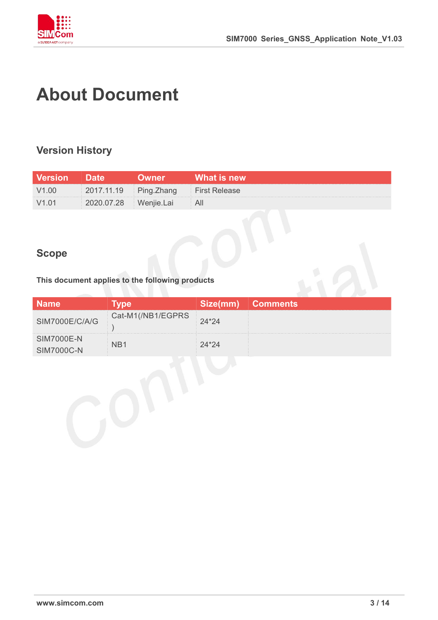

## **About Document**

### **Version History**

| Version Date      |                       | <b>NOwner</b>                       | What is new |
|-------------------|-----------------------|-------------------------------------|-------------|
| V1.00             |                       | 2017.11.19 Ping.Zhang First Release |             |
| V <sub>1.01</sub> | 2020.07.28 Wenjie.Lai |                                     |             |

### **Scope**

**This document applies to the following products**

|                |                   | ize(mm) | <b>Comments</b> |
|----------------|-------------------|---------|-----------------|
| SIM7000E/C/A/G | Cat-M1(/NB1/EGPRS | $1*24$  |                 |
| SIM7000E-N     |                   |         |                 |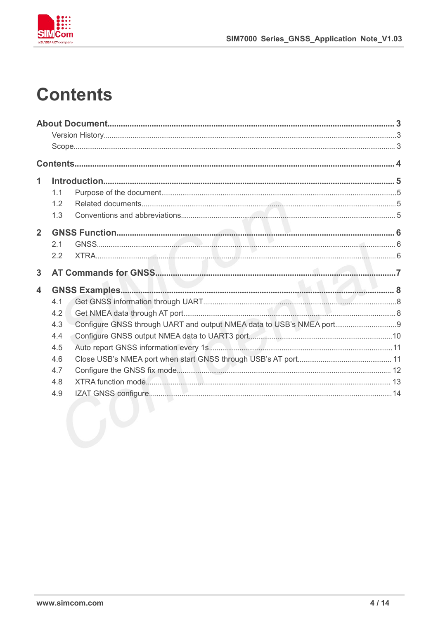

### **Contents**

| 1              |     |  |
|----------------|-----|--|
|                | 1.1 |  |
|                | 1.2 |  |
|                | 1.3 |  |
| $\overline{2}$ |     |  |
|                | 2.1 |  |
|                | 2.2 |  |
| 3              |     |  |
| 4              |     |  |
|                | 4.1 |  |
|                | 4.2 |  |
|                | 4.3 |  |
|                | 4.4 |  |
|                | 4.5 |  |
|                | 4.6 |  |
|                | 4.7 |  |
|                | 4.8 |  |
|                | 4.9 |  |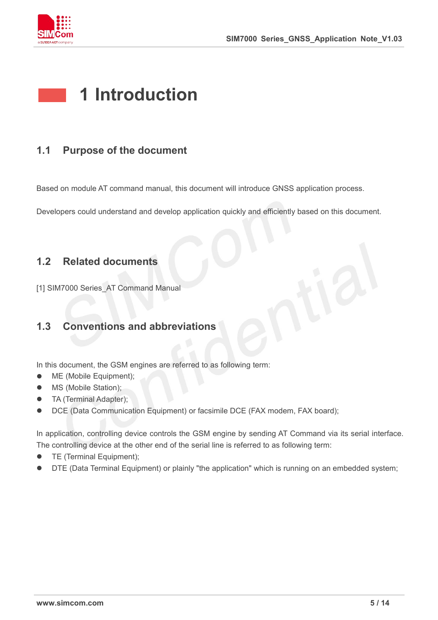

### **1 Introduction**

### **1.1 Purpose of the document**

Based on module AT command manual, this document will introduce GNSS application process.

Developers could understand and develop application quickly and efficiently based on this document.

### **1.2 Related documents**

[1] SIM7000 Series\_AT Command Manual

### **1.3 Conventions and abbreviations**

In this document, the GSM engines are referred to as following term:

- ME (Mobile Equipment);
- MS (Mobile Station);
- TA (Terminal Adapter);
- DCE (Data Communication Equipment) or facsimile DCE (FAX modem, FAX board);

In application, controlling device controls the GSM engine by sending AT Command via its serial interface. The controlling device at the other end of the serial line is referred to as following term:

- **•** TE (Terminal Equipment);
- DTE (Data Terminal Equipment) or plainly "the application" which is running on an embedded system;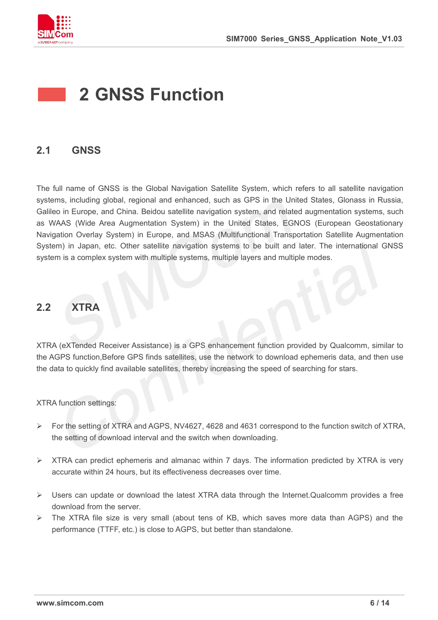

### **2 GNSS Function**

### **2.1 GNSS**

The full name of GNSS is the Global Navigation Satellite System, which refers to all satellite navigation systems, including global, regional and enhanced, such as GPS in the United States, Glonass in Russia, Galileo in Europe, and China. Beidou satellite navigation system, and related augmentation systems, such as WAAS (Wide Area Augmentation System) in the United States, EGNOS (European Geostationary Navigation Overlay System) in Europe, and MSAS (Multifunctional Transportation Satellite Augmentation System) in Japan, etc. Other satellite navigation systems to be built and later. The international GNSS system is a complex system with multiple systems, multiple layers and multiple modes.

### **2.2 XTRA**

XTRA (eXTended Receiver Assistance) is a GPS enhancement function provided by Qualcomm, similar to the AGPS function,Before GPS finds satellites, use the network to download ephemeris data, and then use the data to quickly find available satellites, thereby increasing the speed of searching for stars.

XTRA function settings:

- For the setting of XTRA and AGPS, NV4627, 4628 and 4631 correspond to the function switch of XTRA, the setting of download interval and the switch when downloading.
- $\triangleright$  XTRA can predict ephemeris and almanac within 7 days. The information predicted by XTRA is very accurate within 24 hours, but its effectiveness decreases over time.
- Users can update or download the latest XTRA data through the Internet.Qualcomm provides a free download from the server.
- $\triangleright$  The XTRA file size is very small (about tens of KB, which saves more data than AGPS) and the performance (TTFF, etc.) is close to AGPS, but better than standalone.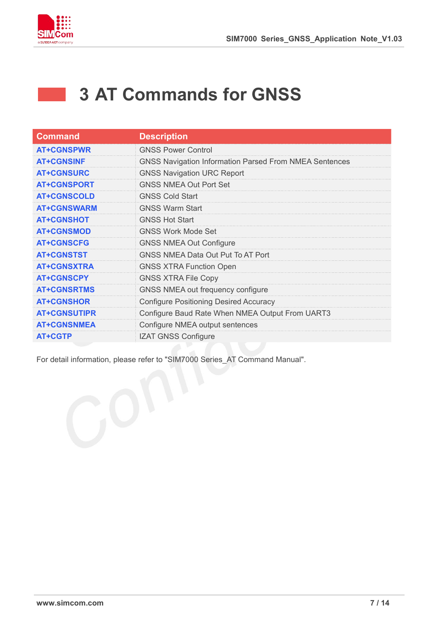

### **3 AT Commands for GNSS**

| <b>Command</b>      | <b>Description</b>                                            |
|---------------------|---------------------------------------------------------------|
| <b>AT+CGNSPWR</b>   | <b>GNSS Power Control</b>                                     |
| <b>AT+CGNSINF</b>   | <b>GNSS Navigation Information Parsed From NMEA Sentences</b> |
| <b>AT+CGNSURC</b>   | <b>GNSS Navigation URC Report</b>                             |
| <b>AT+CGNSPORT</b>  | <b>GNSS NMEA Out Port Set</b>                                 |
| <b>AT+CGNSCOLD</b>  | <b>GNSS Cold Start</b>                                        |
| <b>AT+CGNSWARM</b>  | <b>GNSS Warm Start</b>                                        |
| <b>AT+CGNSHOT</b>   | <b>GNSS Hot Start</b>                                         |
| <b>AT+CGNSMOD</b>   | <b>GNSS Work Mode Set</b>                                     |
| <b>AT+CGNSCFG</b>   | <b>GNSS NMEA Out Configure</b>                                |
| <b>AT+CGNSTST</b>   | <b>GNSS NMEA Data Out Put To AT Port</b>                      |
| <b>AT+CGNSXTRA</b>  | <b>GNSS XTRA Function Open</b>                                |
| <b>AT+CGNSCPY</b>   | <b>GNSS XTRA File Copy</b>                                    |
| <b>AT+CGNSRTMS</b>  | GNSS NMEA out frequency configure                             |
| <b>AT+CGNSHOR</b>   | <b>Configure Positioning Desired Accuracy</b>                 |
| <b>AT+CGNSUTIPR</b> | Configure Baud Rate When NMEA Output From UART3               |
| <b>AT+CGNSNMEA</b>  | Configure NMEA output sentences                               |
| <b>AT+CGTP</b>      | <b>IZAT GNSS Configure</b>                                    |

For detail information, please refer to "SIM7000 Series\_AT Command Manual".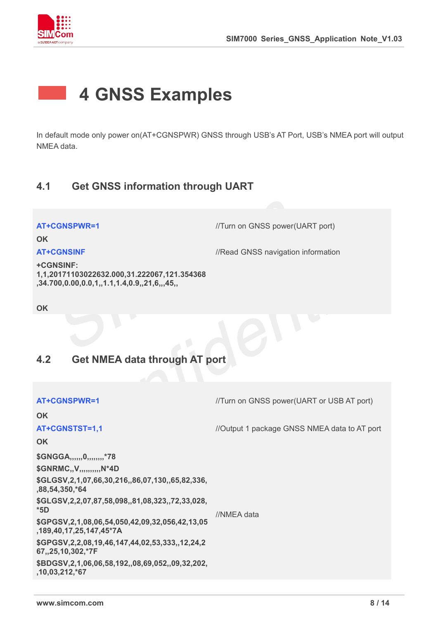

### **4 GNSS Examples**

In default mode only power on(AT+CGNSPWR) GNSS through USB's AT Port, USB's NMEA port will output NMEA data.

### **4.1 Get GNSS information through UART**

**AT+CGNSPWR=1** //Turn on GNSS power(UART port)

**OK**

**AT+CGNSINF** *//Read GNSS navigation information* 

**+CGNSINF: 1,1,20171103022632.000,31.222067,121.354368 ,34.700,0.00,0.0,1,,1.1,1.4,0.9,,21,6,,,45,,**

**OK**

### **4.2 Get NMEA data through AT port**

| AT+CGNSPWR=1                                                                           | //Turn on GNSS power(UART or USB AT port)    |  |
|----------------------------------------------------------------------------------------|----------------------------------------------|--|
| <b>OK</b>                                                                              |                                              |  |
| AT+CGNSTST=1,1                                                                         | //Output 1 package GNSS NMEA data to AT port |  |
| <b>OK</b>                                                                              |                                              |  |
| \$GNGGA,,,,,,,0,,,,,,,,,*78                                                            |                                              |  |
| \$GNRMC,, V,,,,,,,,,,,N*4D                                                             |                                              |  |
| \$GLGSV, 2, 1,07, 66, 30, 216, 86, 07, 130, 65, 82, 336,<br>,88,54,350,*64             |                                              |  |
| \$GLGSV, 2, 2,07, 87, 58, 098, , 81, 08, 323, , 72, 33, 028,<br>$*5D$                  | //NMEA data                                  |  |
| \$GPGSV, 2, 1, 08, 06, 54, 050, 42, 09, 32, 056, 42, 13, 05<br>,189,40,17,25,147,45*7A |                                              |  |
| \$GPGSV, 2, 2, 08, 19, 46, 147, 44, 02, 53, 333, , 12, 24, 2<br>67,,25,10,302,*7F      |                                              |  |
| \$BDGSV,2,1,06,06,58,192,,08,69,052,,09,32,202,<br>,10,03,212,*67                      |                                              |  |
|                                                                                        |                                              |  |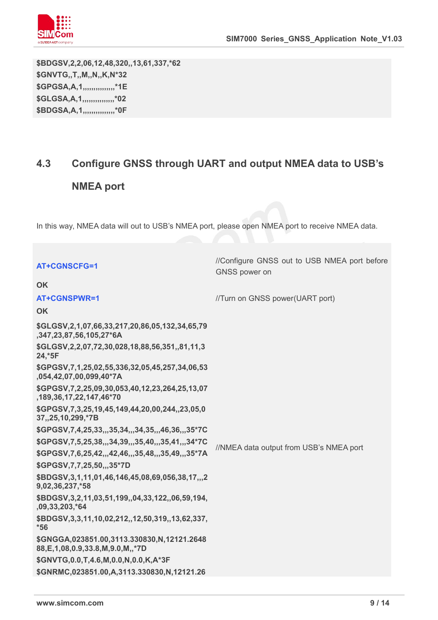

**\$BDGSV,2,2,06,12,48,320,,13,61,337,\*62 \$GNVTG,,T,,M,,N,,K,N\*32 \$GPGSA,A,1,,,,,,,,,,,,,,,\*1E \$GLGSA,A,1,,,,,,,,,,,,,,,\*02 \$BDGSA,A,1,,,,,,,,,,,,,,,\*0F**

### **4.3 Configure GNSS through UART and output NMEA data to USB's**

### **NMEA port**

In this way, NMEA data will out to USB's NMEA port, please open NMEA port to receive NMEA data.

| <b>AT+CGNSCFG=1</b>                                                                    | //Configure GNSS out to USB NMEA port before<br>GNSS power on |  |
|----------------------------------------------------------------------------------------|---------------------------------------------------------------|--|
| <b>OK</b>                                                                              |                                                               |  |
| AT+CGNSPWR=1                                                                           | //Turn on GNSS power(UART port)                               |  |
| <b>OK</b>                                                                              |                                                               |  |
| \$GLGSV, 2, 1, 07, 66, 33, 217, 20, 86, 05, 132, 34, 65, 79<br>,347,23,87,56,105,27*6A |                                                               |  |
| \$GLGSV, 2, 2, 07, 72, 30, 028, 18, 88, 56, 351,, 81, 11, 3<br>24,*5F                  |                                                               |  |
| \$GPGSV,7,1,25,02,55,336,32,05,45,257,34,06,53<br>,054,42,07,00,099,40*7A              |                                                               |  |
| \$GPGSV, 7, 2, 25, 09, 30, 053, 40, 12, 23, 264, 25, 13, 07<br>,189,36,17,22,147,46*70 |                                                               |  |
| \$GPGSV, 7, 3, 25, 19, 45, 149, 44, 20, 00, 244, 23, 05, 0<br>37,,25,10,299,*7B        |                                                               |  |
| \$GPGSV, 7, 4, 25, 33, ,, 35, 34, ,, 34, 35, ,, 46, 36, ,, 35* 7C                      |                                                               |  |
| \$GPGSV,7,5,25,38,,,34,39,,,35,40,,,35,41,,,34*7C                                      | //NMEA data output from USB's NMEA port                       |  |
| \$GPGSV,7,6,25,42,,,42,46,,,35,48,,,35,49,,,35*7A                                      |                                                               |  |
| \$GPGSV, 7, 7, 25, 50, , 35*7D                                                         |                                                               |  |
| \$BDGSV, 3, 1, 11, 01, 46, 146, 45, 08, 69, 056, 38, 17, ,, 2<br>9,02,36,237,*58       |                                                               |  |
| \$BDGSV, 3, 2, 11, 03, 51, 199, , 04, 33, 122, , 06, 59, 194,<br>,09,33,203,*64        |                                                               |  |
| \$BDGSV, 3, 3, 11, 10, 02, 212, , 12, 50, 319, , 13, 62, 337,<br>$*56$                 |                                                               |  |
| \$GNGGA,023851.00,3113.330830,N,12121.2648<br>88, E, 1, 08, 0.9, 33.8, M, 9.0, M, *7D  |                                                               |  |
| \$GNVTG, 0.0, T, 4.6, M, 0.0, N, 0.0, K, A*3F                                          |                                                               |  |
| \$GNRMC,023851.00,A,3113.330830,N,12121.26                                             |                                                               |  |
|                                                                                        |                                                               |  |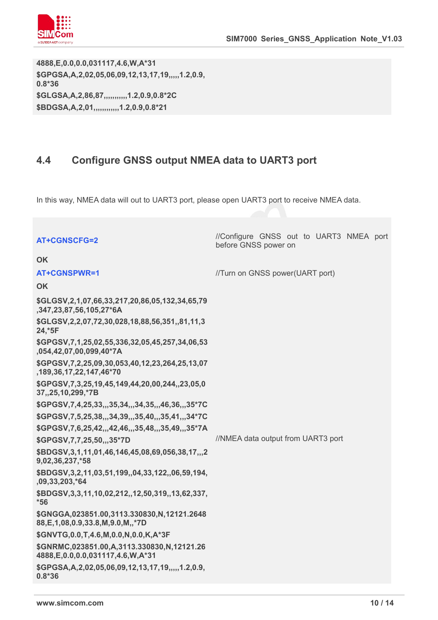

**4888,E,0.0,0.0,031117,4.6,W,A\*31 \$GPGSA,A,2,02,05,06,09,12,13,17,19,,,,,1.2,0.9, 0.8\*36 \$GLGSA,A,2,86,87,,,,,,,,,,,1.2,0.9,0.8\*2C \$BDGSA,A,2,01,,,,,,,,,,,,1.2,0.9,0.8\*21**

### **4.4 Configure GNSS output NMEA data to UART3 port**

In this way, NMEA data will out to UART3 port, please open UART3 port to receive NMEA data.

|                                                                                         | //Configure GNSS out to UART3 NMEA port |
|-----------------------------------------------------------------------------------------|-----------------------------------------|
| <b>AT+CGNSCFG=2</b>                                                                     | before GNSS power on                    |
| <b>OK</b>                                                                               |                                         |
| <b>AT+CGNSPWR=1</b>                                                                     | //Turn on GNSS power(UART port)         |
| <b>OK</b>                                                                               |                                         |
| \$GLGSV, 2, 1, 07, 66, 33, 217, 20, 86, 05, 132, 34, 65, 79<br>,347,23,87,56,105,27*6A  |                                         |
| \$GLGSV, 2, 2, 07, 72, 30, 028, 18, 88, 56, 351, 81, 11, 3<br>24,*5F                    |                                         |
| \$GPGSV, 7, 1, 25, 02, 55, 336, 32, 05, 45, 257, 34, 06, 53<br>,054,42,07,00,099,40*7A  |                                         |
| \$GPGSV, 7, 2, 25, 09, 30, 053, 40, 12, 23, 264, 25, 13, 07<br>,189,36,17,22,147,46*70  |                                         |
| \$GPGSV, 7, 3, 25, 19, 45, 149, 44, 20, 00, 244, 23, 05, 0<br>37,,25,10,299,*7B         |                                         |
| \$GPGSV,7,4,25,33,,,35,34,,,34,35,,,46,36,,,35*7C                                       |                                         |
| \$GPGSV,7,5,25,38,,,34,39,,,35,40,,,35,41,,,34*7C                                       |                                         |
| \$GPGSV,7,6,25,42,,,42,46,,,35,48,,,35,49,,,35*7A                                       |                                         |
| \$GPGSV, 7, 7, 25, 50, ,, 35*7D                                                         | //NMEA data output from UART3 port      |
| \$BDGSV, 3, 1, 11, 01, 46, 146, 45, 08, 69, 056, 38, 17, ,, 2<br>9,02,36,237,*58        |                                         |
| \$BDGSV, 3, 2, 11, 03, 51, 199, , 04, 33, 122, , 06, 59, 194,<br>,09,33,203,*64         |                                         |
| \$BDGSV, 3, 3, 11, 10, 02, 212, , 12, 50, 319, , 13, 62, 337,<br>$*56$                  |                                         |
| \$GNGGA,023851.00,3113.330830,N,12121.2648<br>88, E, 1, 08, 0.9, 33.8, M, 9.0, M, ,* 7D |                                         |
| \$GNVTG, 0.0, T, 4.6, M, 0.0, N, 0.0, K, A*3F                                           |                                         |
| \$GNRMC,023851.00,A,3113.330830,N,12121.26<br>4888, E, 0.0, 0.0, 031117, 4.6, W, A*31   |                                         |
| \$GPGSA, A, 2,02,05,06,09,12,13,17,19,,,,,1.2,0.9,<br>$0.8*36$                          |                                         |
|                                                                                         |                                         |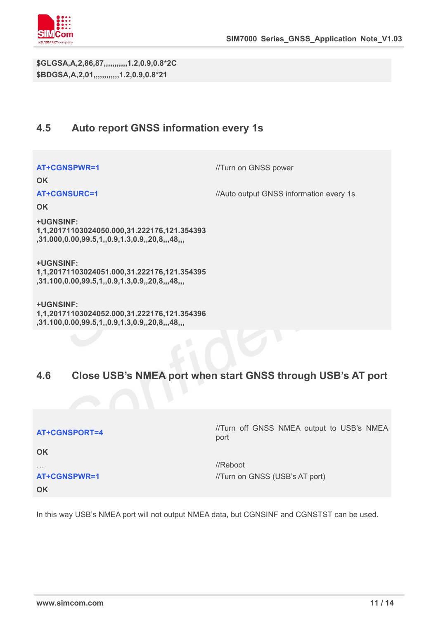

**\$GLGSA,A,2,86,87,,,,,,,,,,,1.2,0.9,0.8\*2C \$BDGSA,A,2,01,,,,,,,,,,,,1.2,0.9,0.8\*21**

### **4.5 Auto report GNSS information every 1s**

**AT+CGNSPWR=1** //Turn on GNSS power

**OK**

**AT+CGNSURC=1** //Auto output GNSS information every 1s

**OK**

**+UGNSINF: 1,1,20171103024050.000,31.222176,121.354393 ,31.000,0.00,99.5,1,,0.9,1.3,0.9,,20,8,,,48,,,**

**+UGNSINF: 1,1,20171103024051.000,31.222176,121.354395 ,31.100,0.00,99.5,1,,0.9,1.3,0.9,,20,8,,,48,,,**

**+UGNSINF: 1,1,20171103024052.000,31.222176,121.354396 ,31.100,0.00,99.5,1,,0.9,1.3,0.9,,20,8,,,48,,,**

### **4.6 Close USB's NMEA port when start GNSS through USB's AT port**

| AT+CGNSPORT=4 |  |
|---------------|--|
|---------------|--|

**OK**

**OK**

//Turn off GNSS NMEA output to USB's NMEA port

 $\cdots$  //Reboot **AT+CGNSPWR=1** //Turn on GNSS (USB's AT port)

In this way USB's NMEA port will not output NMEA data, but CGNSINF and CGNSTST can be used.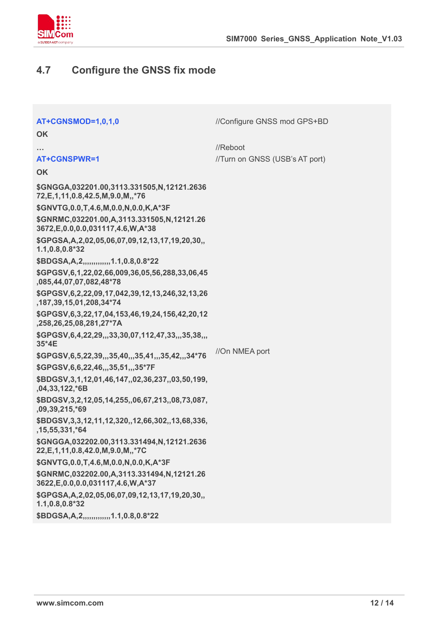

### **4.7 Configure the GNSS fix mode**

| AT+CGNSMOD=1,0,1,0                                                                      | //Configure GNSS mod GPS+BD    |  |
|-----------------------------------------------------------------------------------------|--------------------------------|--|
| <b>OK</b>                                                                               |                                |  |
|                                                                                         | //Reboot                       |  |
| AT+CGNSPWR=1                                                                            | //Turn on GNSS (USB's AT port) |  |
| <b>OK</b>                                                                               |                                |  |
| \$GNGGA,032201.00,3113.331505,N,12121.2636<br>72, E, 1, 11, 0.8, 42.5, M, 9.0, M,, *76  |                                |  |
| \$GNVTG, 0.0, T, 4.6, M, 0.0, N, 0.0, K, A*3F                                           |                                |  |
| \$GNRMC,032201.00,A,3113.331505,N,12121.26<br>3672, E, 0.0, 0.0, 031117, 4.6, W, A*38   |                                |  |
| \$GPGSA, A, 2,02,05,06,07,09,12,13,17,19,20,30,,<br>1.1,0.8,0.8*32                      |                                |  |
| \$BDGSA, A, 2, , , , , , , , , , , , 1.1, 0.8, 0.8*22                                   |                                |  |
| \$GPGSV,6,1,22,02,66,009,36,05,56,288,33,06,45<br>,085,44,07,07,082,48*78               |                                |  |
| \$GPGSV, 6, 2, 22, 09, 17, 042, 39, 12, 13, 246, 32, 13, 26<br>,187,39,15,01,208,34*74  |                                |  |
| \$GPGSV,6,3,22,17,04,153,46,19,24,156,42,20,12<br>,258,26,25,08,281,27*7A               |                                |  |
| \$GPGSV, 6, 4, 22, 29, ., 33, 30, 07, 112, 47, 33, ., 35, 38, .,<br>35*4E               |                                |  |
| \$GPGSV,6,5,22,39,,,35,40,,,35,41,,,35,42,,,34*76                                       | //On NMEA port                 |  |
| \$GPGSV, 6, 6, 22, 46, ,, 35, 51, ,, 35*7F                                              |                                |  |
| \$BDGSV,3,1,12,01,46,147,,02,36,237,,03,50,199,<br>,04,33,122,*6B                       |                                |  |
| \$BDGSV, 3, 2, 12, 05, 14, 255, , 06, 67, 213, , 08, 73, 087,<br>,09,39,215,*69         |                                |  |
| \$BDGSV, 3, 3, 12, 11, 12, 320, , 12, 66, 302, , 13, 68, 336,<br>,15,55,331,*64         |                                |  |
| \$GNGGA,032202.00,3113.331494,N,12121.2636<br>22, E, 1, 11, 0.8, 42.0, M, 9.0, M, ,* 7C |                                |  |
| \$GNVTG, 0.0, T, 4.6, M, 0.0, N, 0.0, K, A*3F                                           |                                |  |
| \$GNRMC,032202.00,A,3113.331494,N,12121.26<br>3622, E, 0.0, 0.0, 031117, 4.6, W, A*37   |                                |  |
| \$GPGSA, A, 2,02,05,06,07,09,12,13,17,19,20,30,,<br>$1.1, 0.8, 0.8*32$                  |                                |  |
| \$BDGSA, A, 2, ,,,,,,,,,,,,,1.1, 0.8, 0.8*22                                            |                                |  |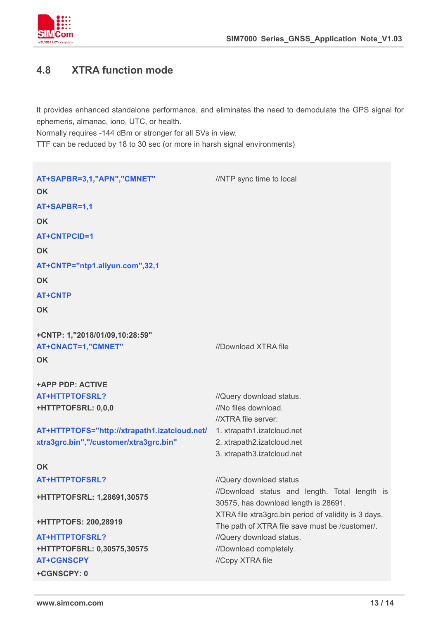

### **4.8 XTRA function mode**

It provides enhanced standalone performance, and eliminates the need to demodulate the GPS signal for ephemeris, almanac, iono, UTC, or health.

Normally requires -144 dBm or stronger for all SVs in view.

TTF can be reduced by 18 to 30 sec (or more in harsh signal environments)

**AT+SAPBR=3,1,"APN","CMNET"** //NTP sync time to local **OK AT+SAPBR=1,1 OK AT+CNTPCID=1 OK AT+CNTP="ntp1.aliyun.com",32,1 OK AT+CNTP OK +CNTP: 1,"2018/01/09,10:28:59" AT+CNACT=1,"CMNET"** //Download XTRA file **OK +APP PDP: ACTIVE AT+HTTPTOFSRL?** *//Query download status.* **+HTTPTOFSRL: 0,0,0** //No files download. **AT+HTTPTOFS="http://xtrapath1.izatcloud.net/** 1. xtrapath1.izatcloud.net **xtra3grc.bin","/customer/xtra3grc.bin"** //XTRA file server: 2. xtrapath2.izatcloud.net 3. xtrapath3.izatcloud.net **OK AT+HTTPTOFSRL?** //Query download status **+HTTPTOFSRL: 1,28691,30575 +HTTPTOFS: 200,28919** //Download status and length. Total length is 30575, has download length is 28691. XTRA file xtra3grc.bin period of validity is 3 days. The path of XTRA file save must be /customer/. **AT+HTTPTOFSRL?** *//Query download status.* **+HTTPTOFSRL: 0,30575,30575** //Download completely.**AT+CGNSCPY** //Copy XTRA file **+CGNSCPY: 0**